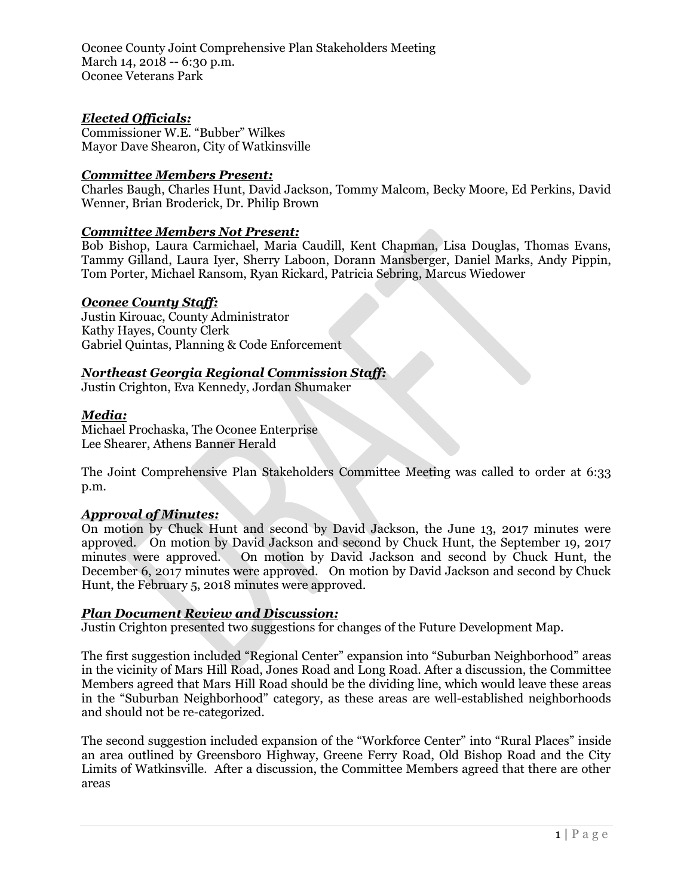Oconee County Joint Comprehensive Plan Stakeholders Meeting March 14, 2018 -- 6:30 p.m. Oconee Veterans Park

# *Elected Officials:*

Commissioner W.E. "Bubber" Wilkes Mayor Dave Shearon, City of Watkinsville

## *Committee Members Present:*

Charles Baugh, Charles Hunt, David Jackson, Tommy Malcom, Becky Moore, Ed Perkins, David Wenner, Brian Broderick, Dr. Philip Brown

## *Committee Members Not Present:*

Bob Bishop, Laura Carmichael, Maria Caudill, Kent Chapman, Lisa Douglas, Thomas Evans, Tammy Gilland, Laura Iyer, Sherry Laboon, Dorann Mansberger, Daniel Marks, Andy Pippin, Tom Porter, Michael Ransom, Ryan Rickard, Patricia Sebring, Marcus Wiedower

## *Oconee County Staff:*

Justin Kirouac, County Administrator Kathy Hayes, County Clerk Gabriel Quintas, Planning & Code Enforcement

# *Northeast Georgia Regional Commission Staff:*

Justin Crighton, Eva Kennedy, Jordan Shumaker

#### *Media:*

Michael Prochaska, The Oconee Enterprise Lee Shearer, Athens Banner Herald

The Joint Comprehensive Plan Stakeholders Committee Meeting was called to order at 6:33 p.m.

#### *Approval of Minutes:*

On motion by Chuck Hunt and second by David Jackson, the June 13, 2017 minutes were approved. On motion by David Jackson and second by Chuck Hunt, the September 19, 2017 minutes were approved. On motion by David Jackson and second by Chuck Hunt, the December 6, 2017 minutes were approved. On motion by David Jackson and second by Chuck Hunt, the February 5, 2018 minutes were approved.

# *Plan Document Review and Discussion:*

Justin Crighton presented two suggestions for changes of the Future Development Map.

The first suggestion included "Regional Center" expansion into "Suburban Neighborhood" areas in the vicinity of Mars Hill Road, Jones Road and Long Road. After a discussion, the Committee Members agreed that Mars Hill Road should be the dividing line, which would leave these areas in the "Suburban Neighborhood" category, as these areas are well-established neighborhoods and should not be re-categorized.

The second suggestion included expansion of the "Workforce Center" into "Rural Places" inside an area outlined by Greensboro Highway, Greene Ferry Road, Old Bishop Road and the City Limits of Watkinsville. After a discussion, the Committee Members agreed that there are other areas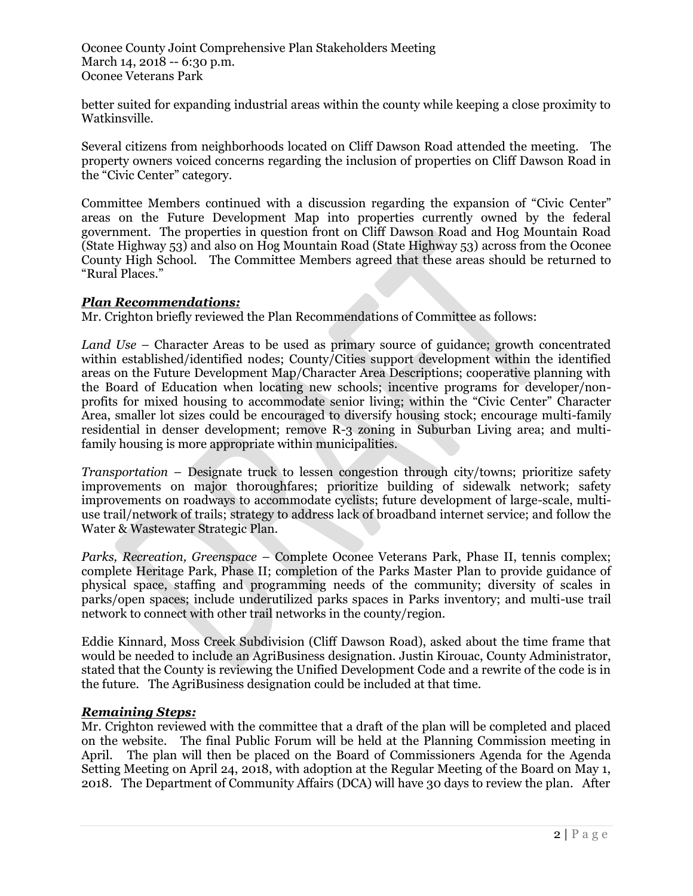Oconee County Joint Comprehensive Plan Stakeholders Meeting March 14, 2018 -- 6:30 p.m. Oconee Veterans Park

better suited for expanding industrial areas within the county while keeping a close proximity to Watkinsville.

Several citizens from neighborhoods located on Cliff Dawson Road attended the meeting. The property owners voiced concerns regarding the inclusion of properties on Cliff Dawson Road in the "Civic Center" category.

Committee Members continued with a discussion regarding the expansion of "Civic Center" areas on the Future Development Map into properties currently owned by the federal government. The properties in question front on Cliff Dawson Road and Hog Mountain Road (State Highway 53) and also on Hog Mountain Road (State Highway 53) across from the Oconee County High School. The Committee Members agreed that these areas should be returned to "Rural Places."

## *Plan Recommendations:*

Mr. Crighton briefly reviewed the Plan Recommendations of Committee as follows:

*Land Use* – Character Areas to be used as primary source of guidance; growth concentrated within established/identified nodes; County/Cities support development within the identified areas on the Future Development Map/Character Area Descriptions; cooperative planning with the Board of Education when locating new schools; incentive programs for developer/nonprofits for mixed housing to accommodate senior living; within the "Civic Center" Character Area, smaller lot sizes could be encouraged to diversify housing stock; encourage multi-family residential in denser development; remove R-3 zoning in Suburban Living area; and multifamily housing is more appropriate within municipalities.

*Transportation* – Designate truck to lessen congestion through city/towns; prioritize safety improvements on major thoroughfares; prioritize building of sidewalk network; safety improvements on roadways to accommodate cyclists; future development of large-scale, multiuse trail/network of trails; strategy to address lack of broadband internet service; and follow the Water & Wastewater Strategic Plan.

*Parks, Recreation, Greenspace* – Complete Oconee Veterans Park, Phase II, tennis complex; complete Heritage Park, Phase II; completion of the Parks Master Plan to provide guidance of physical space, staffing and programming needs of the community; diversity of scales in parks/open spaces; include underutilized parks spaces in Parks inventory; and multi-use trail network to connect with other trail networks in the county/region.

Eddie Kinnard, Moss Creek Subdivision (Cliff Dawson Road), asked about the time frame that would be needed to include an AgriBusiness designation. Justin Kirouac, County Administrator, stated that the County is reviewing the Unified Development Code and a rewrite of the code is in the future. The AgriBusiness designation could be included at that time.

#### *Remaining Steps:*

Mr. Crighton reviewed with the committee that a draft of the plan will be completed and placed on the website. The final Public Forum will be held at the Planning Commission meeting in April. The plan will then be placed on the Board of Commissioners Agenda for the Agenda Setting Meeting on April 24, 2018, with adoption at the Regular Meeting of the Board on May 1, 2018. The Department of Community Affairs (DCA) will have 30 days to review the plan. After